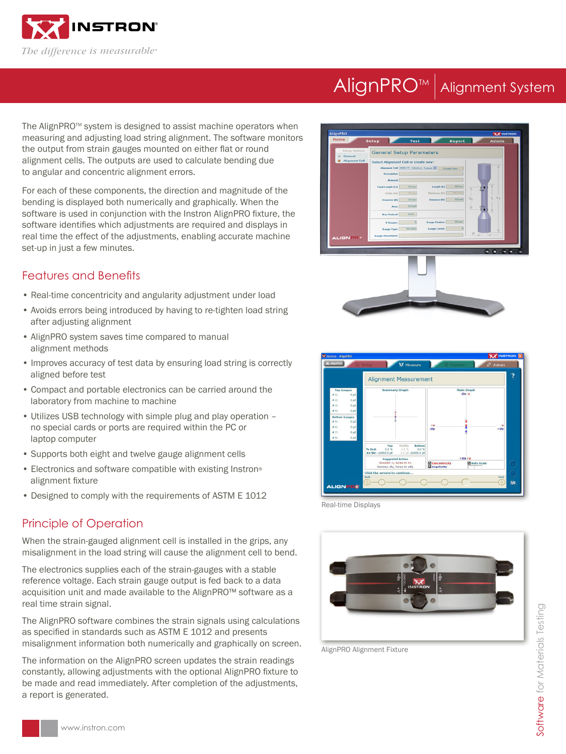

# AlignPRO<sup>™</sup> Alignment System

The AlignPRO™ system is designed to assist machine operators when measuring and adjusting load string alignment. The software monitors the output from strain gauges mounted on either flat or round alignment cells. The outputs are used to calculate bending due to angular and concentric alignment errors.

For each of these components, the direction and magnitude of the bending is displayed both numerically and graphically. When the software is used in conjunction with the Instron AlignPRO fixture, the software identifies which adjustments are required and displays in real time the effect of the adjustments, enabling accurate machine set-up in just a few minutes.

### Features and Benefits

- Real-time concentricity and angularity adjustment under load
- Avoids errors being introduced by having to re-tighten load string after adjusting alignment
- AlignPRO system saves time compared to manual alignment methods
- Improves accuracy of test data by ensuring load string is correctly aligned before test
- Compact and portable electronics can be carried around the laboratory from machine to machine
- Utilizes USB technology with simple plug and play operation no special cards or ports are required within the PC or laptop computer
- Supports both eight and twelve gauge alignment cells
- Electronics and software compatible with existing Instron® alignment fixture
- Designed to comply with the requirements of ASTM E 1012

#### Principle of Operation

When the strain-gauged alignment cell is installed in the grips, any misalignment in the load string will cause the alignment cell to bend.

The electronics supplies each of the strain-gauges with a stable reference voltage. Each strain gauge output is fed back to a data acquisition unit and made available to the AlignPRO™ software as a real time strain signal.

The AlignPRO software combines the strain signals using calculations as specified in standards such as ASTM E 1012 and presents misalignment information both numerically and graphically on screen.

The information on the AlignPRO screen updates the strain readings constantly, allowing adjustments with the optional AlignPRO fixture to be made and read immediately. After completion of the adjustments, a report is generated.







Real-time Displays



AlignPRO Alignment Fixture